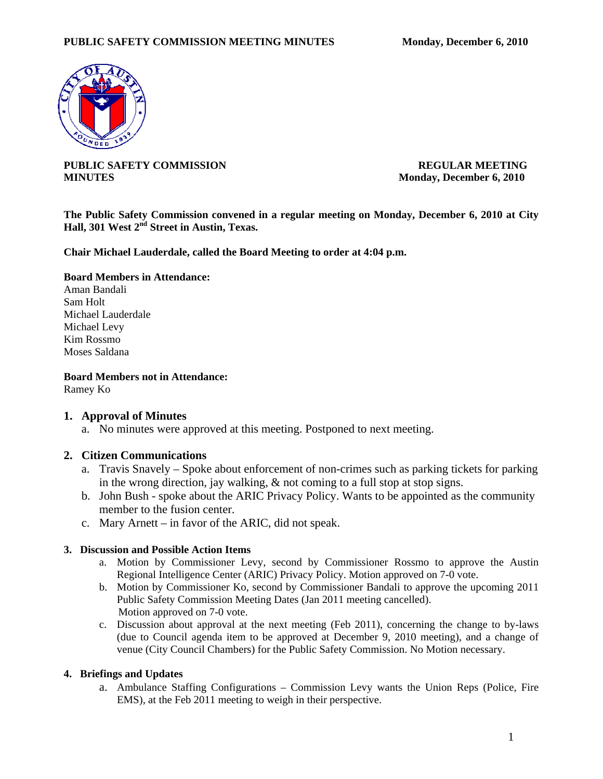

**PUBLIC SAFETY COMMISSION REGULAR MEETING MINUTES** Monday, December 6, 2010

**The Public Safety Commission convened in a regular meeting on Monday, December 6, 2010 at City Hall, 301 West 2nd Street in Austin, Texas.** 

**Chair Michael Lauderdale, called the Board Meeting to order at 4:04 p.m.** 

## **Board Members in Attendance:**

Aman Bandali Sam Holt Michael Lauderdale Michael Levy Kim Rossmo Moses Saldana

**Board Members not in Attendance:**  Ramey Ko

# **1. Approval of Minutes**

a. No minutes were approved at this meeting. Postponed to next meeting.

## **2. Citizen Communications**

- a. Travis Snavely Spoke about enforcement of non-crimes such as parking tickets for parking in the wrong direction, jay walking, & not coming to a full stop at stop signs.
- b. John Bush spoke about the ARIC Privacy Policy. Wants to be appointed as the community member to the fusion center.
- c. Mary Arnett in favor of the ARIC, did not speak.

## **3. Discussion and Possible Action Items**

- a. Motion by Commissioner Levy, second by Commissioner Rossmo to approve the Austin Regional Intelligence Center (ARIC) Privacy Policy. Motion approved on 7-0 vote.
- b. Motion by Commissioner Ko, second by Commissioner Bandali to approve the upcoming 2011 Public Safety Commission Meeting Dates (Jan 2011 meeting cancelled). Motion approved on 7-0 vote.
- c. Discussion about approval at the next meeting (Feb 2011), concerning the change to by-laws (due to Council agenda item to be approved at December 9, 2010 meeting), and a change of venue (City Council Chambers) for the Public Safety Commission. No Motion necessary.

## **4. Briefings and Updates**

a. Ambulance Staffing Configurations – Commission Levy wants the Union Reps (Police, Fire EMS), at the Feb 2011 meeting to weigh in their perspective.